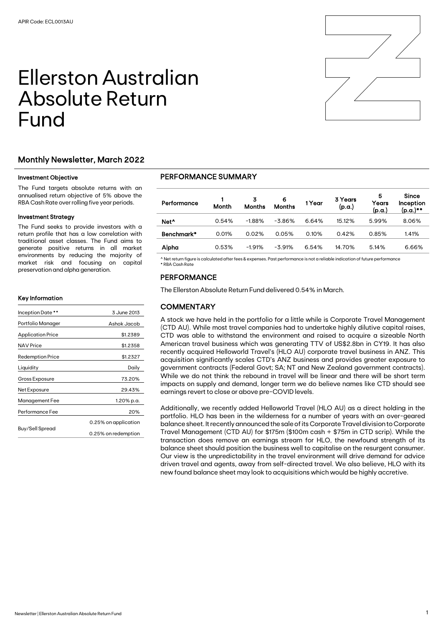# Ellerston Australian Absolute Return Fund



### Investment Objective

The Fund targets absolute returns with an annualised return objective of 5% above the RBA Cash Rate over rolling five year periods.

#### Investment Strategy

The Fund seeks to provide investors with a return profile that has a low correlation with traditional asset classes. The Fund aims to generate positive returns in all market environments by reducing the majority of market risk and focusing on capital preservation and alpha generation.

#### Key Information

| Inception Date **        | 3 June 2013          |  |  |
|--------------------------|----------------------|--|--|
| Portfolio Manager        | Ashok Jacob          |  |  |
| <b>Application Price</b> | \$1.2389             |  |  |
| <b>NAV Price</b>         | \$1.2358             |  |  |
| <b>Redemption Price</b>  | \$1.2327             |  |  |
| Liquidity                | Daily                |  |  |
| Gross Exposure           | 73.20%               |  |  |
| Net Exposure             | 29.43%               |  |  |
| Management Fee           | 1.20% p.a.           |  |  |
| Performance Fee          | 20%                  |  |  |
|                          | 0.25% on application |  |  |
| Buy/Sell Spread          | 0.25% on redemption  |  |  |

## PERFORMANCE SUMMARY

| Performance      | Month | 3<br><b>Months</b> | 6<br><b>Months</b> | 1Year | 3 Years<br>(p.a.) | 5<br>Years<br>(p.a.) | Since<br>Inception<br>(p.a.)** |
|------------------|-------|--------------------|--------------------|-------|-------------------|----------------------|--------------------------------|
| Net <sup>^</sup> | 0.54% | $-1.88%$           | $-3.86\%$          | 6.64% | 15.12%            | 5.99%                | 8.06%                          |
| Benchmark*       | 0.01% | 0.02%              | 0.05%              | 0.10% | 0.42%             | 0.85%                | 1.41%                          |
| Alpha            | 0.53% | $-1.91%$           | $-3.91%$           | 6.54% | 14.70%            | 5.14%                | 6.66%                          |

^ Net return figure is calculated after fees & expenses. Past performance is not a reliable indication of future performance \* RBA Cash Rate

## PERFORMANCE

The Ellerston Absolute Return Fund delivered 0.54% in March.

## **COMMENTARY**

A stock we have held in the portfolio for a little while is Corporate Travel Management (CTD AU). While most travel companies had to undertake highly dilutive capital raises, CTD was able to withstand the environment and raised to acquire a sizeable North American travel business which was generating TTV of US\$2.8bn in CY19. It has also recently acquired Helloworld Travel's (HLO AU) corporate travel business in ANZ. This acquisition significantly scales CTD's ANZ business and provides greater exposure to government contracts (Federal Govt; SA; NT and New Zealand government contracts). While we do not think the rebound in travel will be linear and there will be short term impacts on supply and demand, longer term we do believe names like CTD should see earnings revert to close or above pre-COVID levels.

Additionally, we recently added Helloworld Travel (HLO AU) as a direct holding in the portfolio. HLO has been in the wilderness for a number of years with an over-geared balance sheet. It recently announced the sale of its Corporate Travel division to Corporate Travel Management (CTD AU) for \$175m (\$100m cash + \$75m in CTD scrip). While the transaction does remove an earnings stream for HLO, the newfound strength of its balance sheet should position the business well to capitalise on the resurgent consumer. Our view is the unpredictability in the travel environment will drive demand for advice driven travel and agents, away from self-directed travel. We also believe, HLO with its new found balance sheet may look to acquisitions which would be highly accretive.